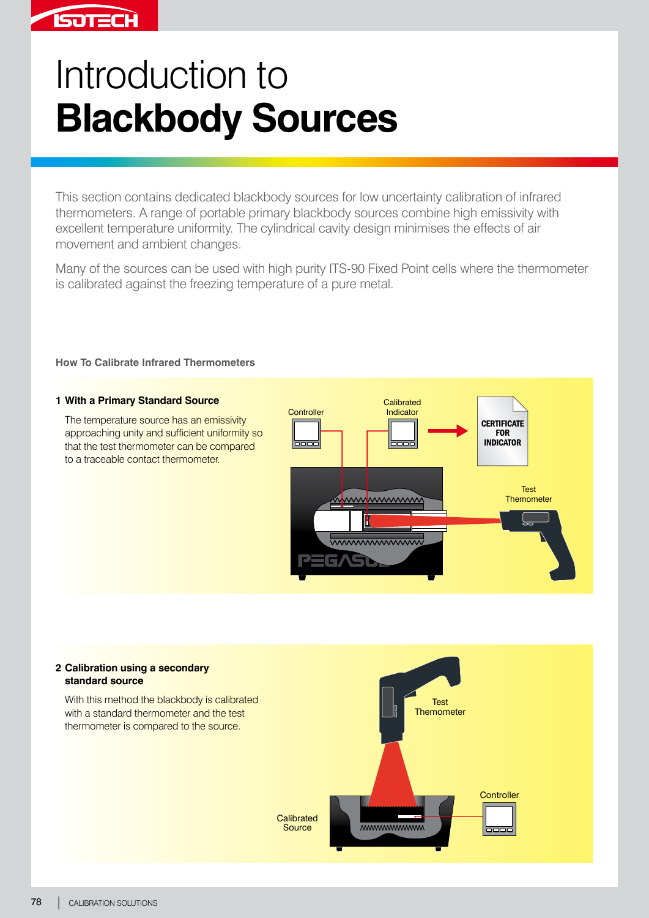# **ISOTECH**

# Introduction to **Blackbody Sources**

This section contains dedicated blackbody sources for low uncertainty calibration of infrared thermometers. A range of portable primary blackbody sources combine high emissivity with excellent temperature uniformity. The cylindrical cavity design minimises the effects of air movement and ambient changes.

Many of the sources can be used with high purity ITS-90 Fixed Point cells where the thermometer is calibrated against the freezing temperature of a pure metal.

## **How To Calibrate Infrared Thermometers**

#### **1 With a Primary Standard Source**

The temperature source has an emissivity approaching unity and sufficient uniformity so that the test thermometer can be compared to a traceable contact thermometer.